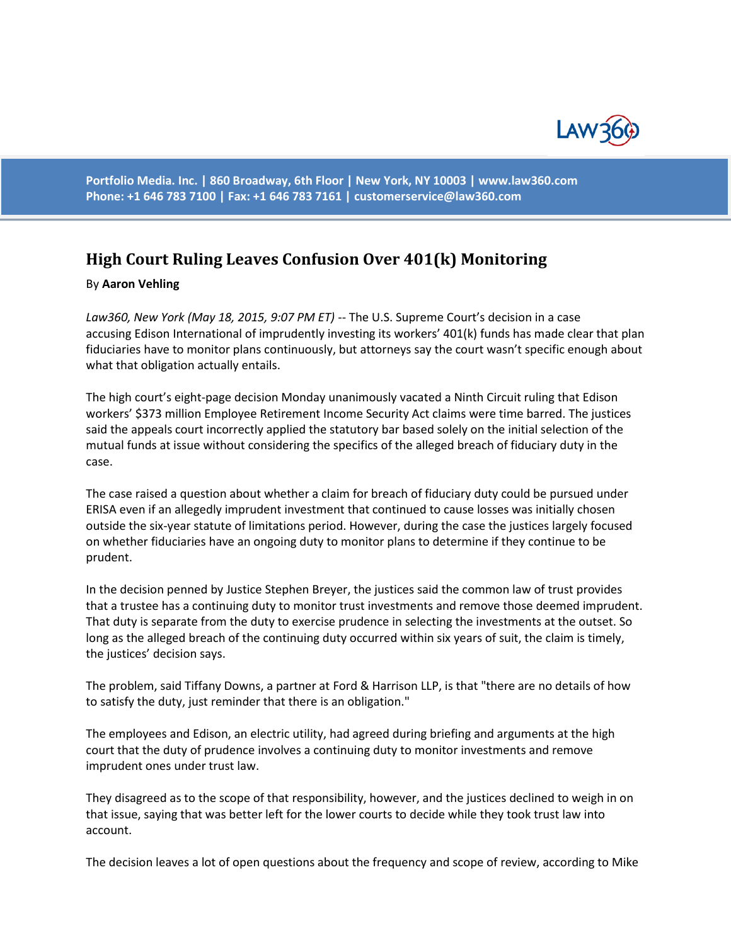

**Portfolio Media. Inc. | 860 Broadway, 6th Floor | New York, NY 10003 | www.law360.com Phone: +1 646 783 7100 | Fax: +1 646 783 7161 | [customerservice@law360.com](mailto:customerservice@law360.com)**

## **High Court Ruling Leaves Confusion Over 401(k) Monitoring**

## By **Aaron Vehling**

*Law360, New York (May 18, 2015, 9:07 PM ET)* -- The U.S. Supreme Court's decision in a case accusing Edison International of imprudently investing its workers' 401(k) funds has made clear that plan fiduciaries have to monitor plans continuously, but attorneys say the court wasn't specific enough about what that obligation actually entails.

The high court's eight-page decision Monday unanimously vacated a Ninth Circuit ruling that Edison workers' \$373 million Employee Retirement Income Security Act claims were time barred. The justices said the appeals court incorrectly applied the statutory bar based solely on the initial selection of the mutual funds at issue without considering the specifics of the alleged breach of fiduciary duty in the case.

The case raised a question about whether a claim for breach of fiduciary duty could be pursued under ERISA even if an allegedly imprudent investment that continued to cause losses was initially chosen outside the six-year statute of limitations period. However, during the case the justices largely focused on whether fiduciaries have an ongoing duty to monitor plans to determine if they continue to be prudent.

In the decision penned by Justice Stephen Breyer, the justices said the common law of trust provides that a trustee has a continuing duty to monitor trust investments and remove those deemed imprudent. That duty is separate from the duty to exercise prudence in selecting the investments at the outset. So long as the alleged breach of the continuing duty occurred within six years of suit, the claim is timely, the justices' decision says.

The problem, said Tiffany Downs, a partner at Ford & Harrison LLP, is that "there are no details of how to satisfy the duty, just reminder that there is an obligation."

The employees and Edison, an electric utility, had agreed during briefing and arguments at the high court that the duty of prudence involves a continuing duty to monitor investments and remove imprudent ones under trust law.

They disagreed as to the scope of that responsibility, however, and the justices declined to weigh in on that issue, saying that was better left for the lower courts to decide while they took trust law into account.

The decision leaves a lot of open questions about the frequency and scope of review, according to Mike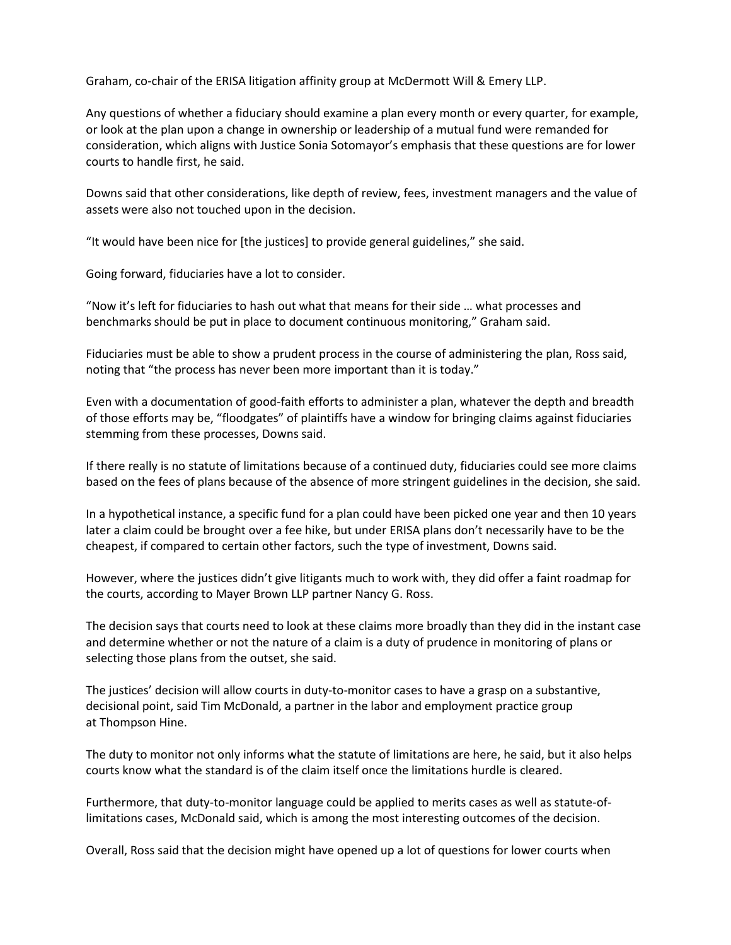Graham, co-chair of the ERISA litigation affinity group at McDermott Will & Emery LLP.

Any questions of whether a fiduciary should examine a plan every month or every quarter, for example, or look at the plan upon a change in ownership or leadership of a mutual fund were remanded for consideration, which aligns with Justice Sonia Sotomayor's emphasis that these questions are for lower courts to handle first, he said.

Downs said that other considerations, like depth of review, fees, investment managers and the value of assets were also not touched upon in the decision.

"It would have been nice for [the justices] to provide general guidelines," she said.

Going forward, fiduciaries have a lot to consider.

"Now it's left for fiduciaries to hash out what that means for their side … what processes and benchmarks should be put in place to document continuous monitoring," Graham said.

Fiduciaries must be able to show a prudent process in the course of administering the plan, Ross said, noting that "the process has never been more important than it is today."

Even with a documentation of good-faith efforts to administer a plan, whatever the depth and breadth of those efforts may be, "floodgates" of plaintiffs have a window for bringing claims against fiduciaries stemming from these processes, Downs said.

If there really is no statute of limitations because of a continued duty, fiduciaries could see more claims based on the fees of plans because of the absence of more stringent guidelines in the decision, she said.

In a hypothetical instance, a specific fund for a plan could have been picked one year and then 10 years later a claim could be brought over a fee hike, but under ERISA plans don't necessarily have to be the cheapest, if compared to certain other factors, such the type of investment, Downs said.

However, where the justices didn't give litigants much to work with, they did offer a faint roadmap for the courts, according to Mayer Brown LLP partner Nancy G. Ross.

The decision says that courts need to look at these claims more broadly than they did in the instant case and determine whether or not the nature of a claim is a duty of prudence in monitoring of plans or selecting those plans from the outset, she said.

The justices' decision will allow courts in duty-to-monitor cases to have a grasp on a substantive, decisional point, said Tim McDonald, a partner in the labor and employment practice group at Thompson Hine.

The duty to monitor not only informs what the statute of limitations are here, he said, but it also helps courts know what the standard is of the claim itself once the limitations hurdle is cleared.

Furthermore, that duty-to-monitor language could be applied to merits cases as well as statute-oflimitations cases, McDonald said, which is among the most interesting outcomes of the decision.

Overall, Ross said that the decision might have opened up a lot of questions for lower courts when